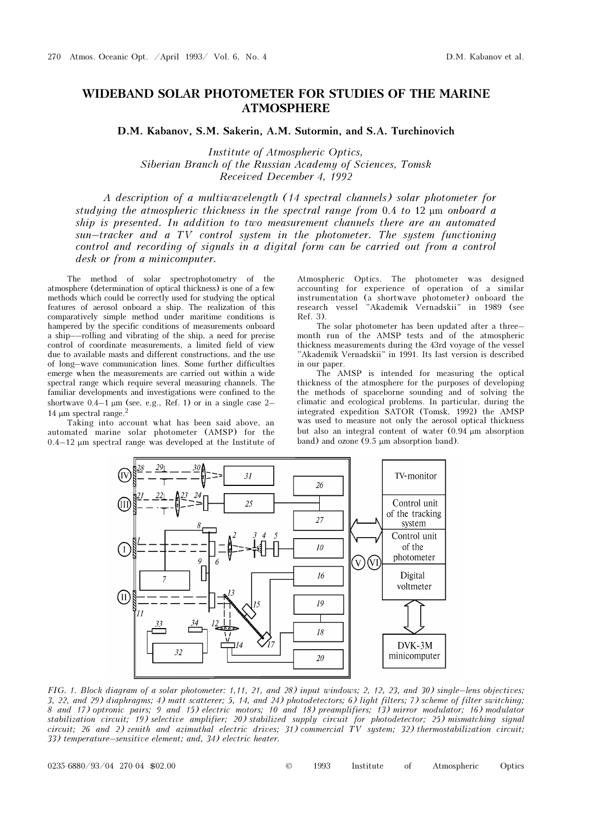## WIDEBAND SOLAR PHOTOMETER FOR STUDIES OF THE MARINE ATMOSPHERE

D.M. Kabanov, S.M. Sakerin, A.M. Sutormin, and S.A. Turchinovich

Institute of Atmospheric Optics, Siberian Branch of the Russian Academy of Sciences, Tomsk Received December 4, 1992

A description of a multiwavelength (14 spectral channels) solar photometer for studying the atmospheric thickness in the spectral range from 0.4 to 12 µm onboard a ship is presented. In addition to two measurement channels there are an automated sun–tracker and a TV control system in the photometer. The system functioning control and recording of signals in a digital form can be carried out from a control desk or from a minicomputer.

The method of solar spectrophotometry of the atmosphere (determination of optical thickness) is one of a few methods which could be correctly used for studying the optical features of aerosol onboard a ship. The realization of this comparatively simple method under maritime conditions is hampered by the specific conditions of measurements onboard a ship––rolling and vibrating of the ship, a need for precise control of coordinate measurements, a limited field of view due to available masts and different constructions, and the use of long–wave communication lines. Some further difficulties emerge when the measurements are carried out within a wide spectral range which require several measuring channels. The familiar developments and investigations were confined to the shortwave  $0.4-1 \mu m$  (see, e.g., Ref. 1) or in a single case  $2-$ 14  $\mu$ m spectral range.<sup>2</sup>

Taking into account what has been said above, an automated marine solar photometer (AMSP) for the  $0.4-12$  µm spectral range was developed at the Institute of

Atmospheric Optics. The photometer was designed accounting for experience of operation of a similar instrumentation (a shortwave photometer) onboard the research vessel "Akademik Vernadskii" in 1989 (see Ref. 3).

The solar photometer has been updated after a three– month run of the AMSP tests and of the atmospheric thickness measurements during the 43rd voyage of the vessel "Akademik Vernadskii" in 1991. Its last version is described in our paper.

The AMSP is intended for measuring the optical thickness of the atmosphere for the purposes of developing the methods of spaceborne sounding and of solving the climatic and ecological problems. In particular, during the integrated expedition SATOR (Tomsk, 1992) the AMSP was used to measure not only the aerosol optical thickness but also an integral content of water (0.94 µm absorption band) and ozone (9.5  $\mu$ m absorption band).



FIG. 1. Block diagram of a solar photometer: 1,11, 21, and 28) input windows; 2, 12, 23, and 30) single–lens objectives; 3, 22, and 29) diaphragms; 4) matt scatterer; 5, 14, and 24) photodetectors; 6) light filters; 7) scheme of filter switching; 8 and 17) optronic pairs; 9 and 15) electric motors; 10 and 18) preamplifiers; 13) mirror modulator; 16) modulator stabilization circuit; 19) selective amplifier; 20) stabilized supply circuit for photodetector; 25) mismatching signal circuit; 26 and 2) zenith and azimuthal electric drives; 31) commercial TV system; 32) thermostabilization circuit; 33) temperature–sensitive element; and, 34) electric heater.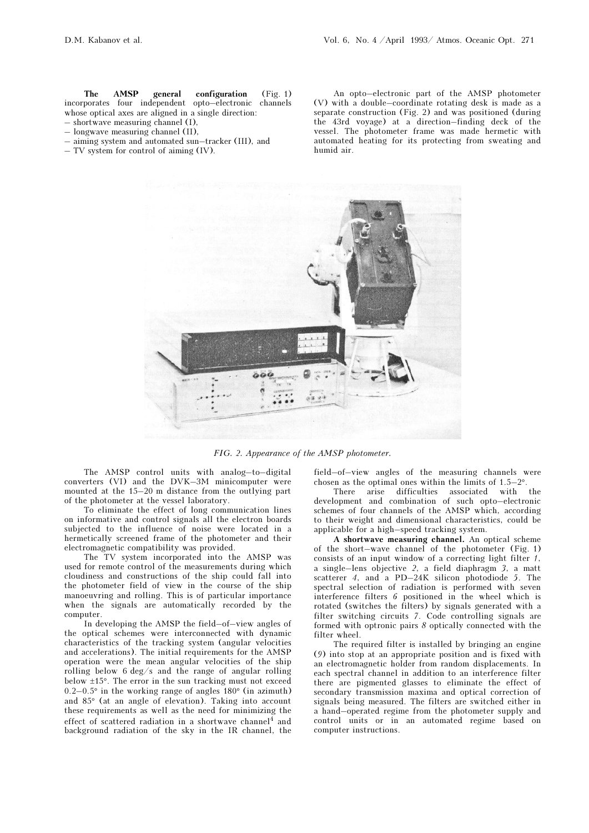The AMSP general configuration (Fig. 1) incorporates four independent opto–electronic channels whose optical axes are aligned in a single direction:

- shortwave measuring channel (I),
- longwave measuring channel (II),
- aiming system and automated sun–tracker (III), and
- TV system for control of aiming (IV).

An opto–electronic part of the AMSP photometer (V) with a double–coordinate rotating desk is made as a separate construction (Fig. 2) and was positioned (during the 43rd voyage) at a direction–finding deck of the vessel. The photometer frame was made hermetic with automated heating for its protecting from sweating and humid air.



FIG. 2. Appearance of the AMSP photometer.

The AMSP control units with analog–to–digital converters (VI) and the DVK–3M minicomputer were mounted at the 15–20 m distance from the outlying part of the photometer at the vessel laboratory.

To eliminate the effect of long communication lines on informative and control signals all the electron boards subjected to the influence of noise were located in a hermetically screened frame of the photometer and their electromagnetic compatibility was provided.

The TV system incorporated into the AMSP was used for remote control of the measurements during which cloudiness and constructions of the ship could fall into the photometer field of view in the course of the ship manoeuvring and rolling. This is of particular importance when the signals are automatically recorded by the computer.

In developing the AMSP the field–of–view angles of the optical schemes were interconnected with dynamic characteristics of the tracking system (angular velocities and accelerations). The initial requirements for the AMSP operation were the mean angular velocities of the ship rolling below 6 deg/s and the range of angular rolling below ±15°. The error in the sun tracking must not exceed  $0.2-0.5^{\circ}$  in the working range of angles 180 $^{\circ}$  (in azimuth) and 85° (at an angle of elevation). Taking into account these requirements as well as the need for minimizing the effect of scattered radiation in a shortwave channel<sup>4</sup> and background radiation of the sky in the IR channel, the field–of–view angles of the measuring channels were chosen as the optimal ones within the limits of 1.5–2°.

There arise difficulties associated with the development and combination of such opto–electronic schemes of four channels of the AMSP which, according to their weight and dimensional characteristics, could be applicable for a high–speed tracking system.

A shortwave measuring channel. An optical scheme of the short–wave channel of the photometer (Fig. 1) consists of an input window of a correcting light filter 1, a single–lens objective 2, a field diaphragm 3, a matt scatterer 4, and a PD–24K silicon photodiode 5. The spectral selection of radiation is performed with seven interference filters 6 positioned in the wheel which is rotated (switches the filters) by signals generated with a filter switching circuits 7. Code controlling signals are formed with optronic pairs 8 optically connected with the filter wheel.

The required filter is installed by bringing an engine (9) into stop at an appropriate position and is fixed with an electromagnetic holder from random displacements. In each spectral channel in addition to an interference filter there are pigmented glasses to eliminate the effect of secondary transmission maxima and optical correction of signals being measured. The filters are switched either in a hand–operated regime from the photometer supply and control units or in an automated regime based on computer instructions.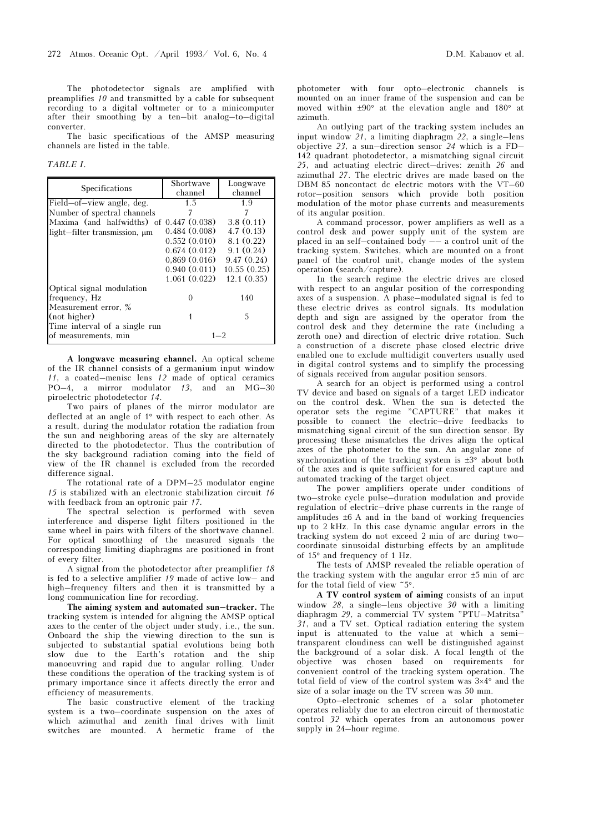The photodetector signals are amplified with preamplifies 10 and transmitted by a cable for subsequent recording to a digital voltmeter or to a minicomputer after their smoothing by a ten–bit analog–to–digital converter.

The basic specifications of the AMSP measuring channels are listed in the table.

TABLE I.

| Specifications                               | Shortwave    | Longwave    |
|----------------------------------------------|--------------|-------------|
|                                              | channel      | channel     |
| Field-of-view angle, deg.                    | 1.5          | 1.9         |
| Number of spectral channels                  |              |             |
| Maxima (and halfwidths) of $0.447$ $(0.038)$ |              | 3.8(0.11)   |
| light-filter transmission, $\mu$ m           | 0.484(0.008) | 4.7(0.13)   |
|                                              | 0.552(0.010) | 8.1(0.22)   |
|                                              | 0.674(0.012) | 9.1(0.24)   |
|                                              | 0.869(0.016) | 9.47(0.24)  |
|                                              | 0.940(0.011) | 10.55(0.25) |
|                                              | 1.061(0.022) | 12.1(0.35)  |
| Optical signal modulation                    |              |             |
| frequency, Hz                                | Ω            | 140         |
| Measurement error, %                         |              |             |
| (not higher)                                 |              | 5           |
| Time interval of a single run                |              |             |
| of measurements, min                         |              |             |

A longwave measuring channel. An optical scheme of the IR channel consists of a germanium input window 11, a coated–menisc lens 12 made of optical ceramics PO–4, a mirror modulator 13, and an MG–30 piroelectric photodetector 14.

Two pairs of planes of the mirror modulator are deflected at an angle of 1° with respect to each other. As a result, during the modulator rotation the radiation from the sun and neighboring areas of the sky are alternately directed to the photodetector. Thus the contribution of the sky background radiation coming into the field of view of the IR channel is excluded from the recorded difference signal.

The rotational rate of a DPM–25 modulator engine 15 is stabilized with an electronic stabilization circuit 16 with feedback from an optronic pair 17.

The spectral selection is performed with seven interference and disperse light filters positioned in the same wheel in pairs with filters of the shortwave channel. For optical smoothing of the measured signals the corresponding limiting diaphragms are positioned in front of every filter.

A signal from the photodetector after preamplifier 18 is fed to a selective amplifier 19 made of active low– and high–frequency filters and then it is transmitted by a long communication line for recording.

The aiming system and automated sun–tracker. The tracking system is intended for aligning the AMSP optical axes to the center of the object under study, i.e., the sun. Onboard the ship the viewing direction to the sun is subjected to substantial spatial evolutions being both slow due to the Earth's rotation and the ship manoeuvring and rapid due to angular rolling. Under these conditions the operation of the tracking system is of primary importance since it affects directly the error and efficiency of measurements.

The basic constructive element of the tracking system is a two–coordinate suspension on the axes of which azimuthal and zenith final drives with limit switches are mounted. A hermetic frame of the photometer with four opto–electronic channels is mounted on an inner frame of the suspension and can be moved within ±90° at the elevation angle and 180° at azimuth.

An outlying part of the tracking system includes an input window  $21$ , a limiting diaphragm 22, a single–lens objective 23, a sun–direction sensor 24 which is a FD– 142 quadrant photodetector, a mismatching signal circuit 25, and actuating electric direct–drives: zenith 26 and azimuthal 27. The electric drives are made based on the DBM 85 noncontact dc electric motors with the VT–60 rotor–position sensors which provide both position modulation of the motor phase currents and measurements of its angular position.

A command processor, power amplifiers as well as a control desk and power supply unit of the system are placed in an self–contained body –– a control unit of the tracking system. Switches, which are mounted on a front panel of the control unit, change modes of the system operation (search/capture).

In the search regime the electric drives are closed with respect to an angular position of the corresponding axes of a suspension. A phase–modulated signal is fed to these electric drives as control signals. Its modulation depth and sign are assigned by the operator from the control desk and they determine the rate (including a zeroth one) and direction of electric drive rotation. Such a construction of a discrete phase closed electric drive enabled one to exclude multidigit converters usually used in digital control systems and to simplify the processing of signals received from angular position sensors.

A search for an object is performed using a control TV device and based on signals of a target LED indicator on the control desk. When the sun is detected the operator sets the regime "CAPTURE" that makes it possible to connect the electric–drive feedbacks to mismatching signal circuit of the sun direction sensor. By processing these mismatches the drives align the optical axes of the photometer to the sun. An angular zone of synchronization of the tracking system is ±3° about both of the axes and is quite sufficient for ensured capture and automated tracking of the target object.

The power amplifiers operate under conditions of two–stroke cycle pulse–duration modulation and provide regulation of electric–drive phase currents in the range of amplitudes  $\pm 6$  A and in the band of working frequencies up to 2 kHz. In this case dynamic angular errors in the tracking system do not exceed 2 min of arc during two– coordinate sinusoidal disturbing effects by an amplitude of 15° and frequency of 1 Hz.

The tests of AMSP revealed the reliable operation of the tracking system with the angular error  $\pm 5$  min of arc for the total field of view ~5°.

A TV control system of aiming consists of an input window 28, a single–lens objective 30 with a limiting diaphragm 29, a commercial TV system "PTU–Matritsa" 31, and a TV set. Optical radiation entering the system input is attenuated to the value at which a semi– transparent cloudiness can well be distinguished against the background of a solar disk. A focal length of the objective was chosen based on requirements for convenient control of the tracking system operation. The total field of view of the control system was 3×4° and the size of a solar image on the TV screen was 50 mm.

Opto–electronic schemes of a solar photometer operates reliably due to an electron circuit of thermostatic control 32 which operates from an autonomous power supply in 24–hour regime.